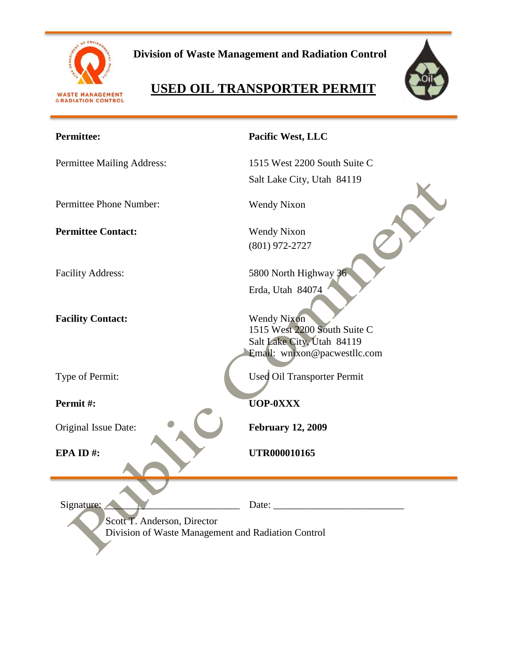

**Division of Waste Management and Radiation Control**

# **USED OIL TRANSPORTER PERMIT**



| <b>Permittee:</b>                                                                 | Pacific West, LLC              |  |  |
|-----------------------------------------------------------------------------------|--------------------------------|--|--|
|                                                                                   |                                |  |  |
| Permittee Mailing Address:                                                        | 1515 West 2200 South Suite C   |  |  |
|                                                                                   | Salt Lake City, Utah 84119     |  |  |
| Permittee Phone Number:                                                           | <b>Wendy Nixon</b>             |  |  |
|                                                                                   |                                |  |  |
| <b>Permittee Contact:</b>                                                         | <b>Wendy Nixon</b>             |  |  |
|                                                                                   | $(801)$ 972-2727               |  |  |
|                                                                                   |                                |  |  |
| <b>Facility Address:</b>                                                          | 5800 North Highway 36          |  |  |
|                                                                                   | Erda, Utah 84074               |  |  |
|                                                                                   |                                |  |  |
| <b>Facility Contact:</b>                                                          | <b>Wendy Nixon</b>             |  |  |
|                                                                                   | 1515 West 2200 South Suite C   |  |  |
|                                                                                   | Salt Lake City, Utah 84119     |  |  |
|                                                                                   | Email: wnixon@pacwestllc.com   |  |  |
| Type of Permit:                                                                   | Used Oil Transporter Permit    |  |  |
|                                                                                   |                                |  |  |
| Permit#:                                                                          | <b>UOP-0XXX</b>                |  |  |
| Original Issue Date:                                                              | <b>February 12, 2009</b>       |  |  |
|                                                                                   |                                |  |  |
| EPA ID#:                                                                          | UTR000010165                   |  |  |
|                                                                                   |                                |  |  |
|                                                                                   |                                |  |  |
| Signature:                                                                        | Date: $\overline{\phantom{a}}$ |  |  |
|                                                                                   |                                |  |  |
| Scott T. Anderson, Director<br>Division of Waste Management and Radiation Control |                                |  |  |
|                                                                                   |                                |  |  |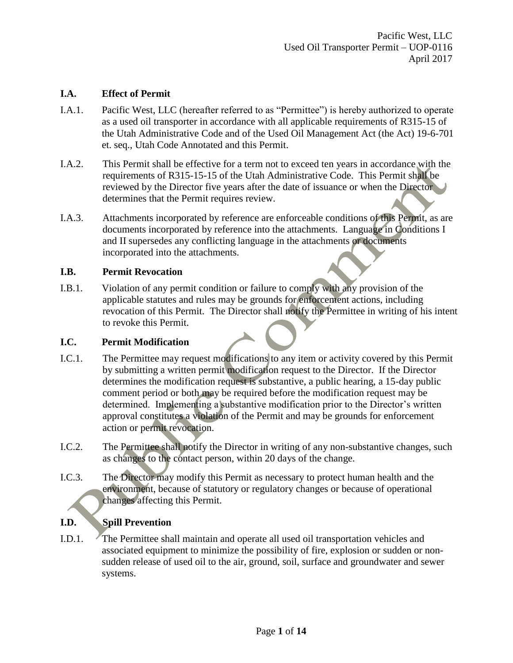## **I.A. Effect of Permit**

- I.A.1. Pacific West, LLC (hereafter referred to as "Permittee") is hereby authorized to operate as a used oil transporter in accordance with all applicable requirements of R315-15 of the Utah Administrative Code and of the Used Oil Management Act (the Act) 19-6-701 et. seq., Utah Code Annotated and this Permit.
- I.A.2. This Permit shall be effective for a term not to exceed ten years in accordance with the requirements of R315-15-15 of the Utah Administrative Code. This Permit shall be reviewed by the Director five years after the date of issuance or when the Director determines that the Permit requires review.
- I.A.3. Attachments incorporated by reference are enforceable conditions of this Permit, as are documents incorporated by reference into the attachments. Language in Conditions I and II supersedes any conflicting language in the attachments or documents incorporated into the attachments.

#### **I.B. Permit Revocation**

I.B.1. Violation of any permit condition or failure to comply with any provision of the applicable statutes and rules may be grounds for enforcement actions, including revocation of this Permit. The Director shall notify the Permittee in writing of his intent to revoke this Permit.

#### **I.C. Permit Modification**

- I.C.1. The Permittee may request modifications to any item or activity covered by this Permit by submitting a written permit modification request to the Director. If the Director determines the modification request is substantive, a public hearing, a 15-day public comment period or both may be required before the modification request may be determined. Implementing a substantive modification prior to the Director's written approval constitutes a violation of the Permit and may be grounds for enforcement action or permit revocation.
- I.C.2. The Permittee shall notify the Director in writing of any non-substantive changes, such as changes to the contact person, within 20 days of the change.
- I.C.3. The Director may modify this Permit as necessary to protect human health and the environment, because of statutory or regulatory changes or because of operational changes affecting this Permit.

# **I.D. Spill Prevention**

I.D.1. The Permittee shall maintain and operate all used oil transportation vehicles and associated equipment to minimize the possibility of fire, explosion or sudden or nonsudden release of used oil to the air, ground, soil, surface and groundwater and sewer systems.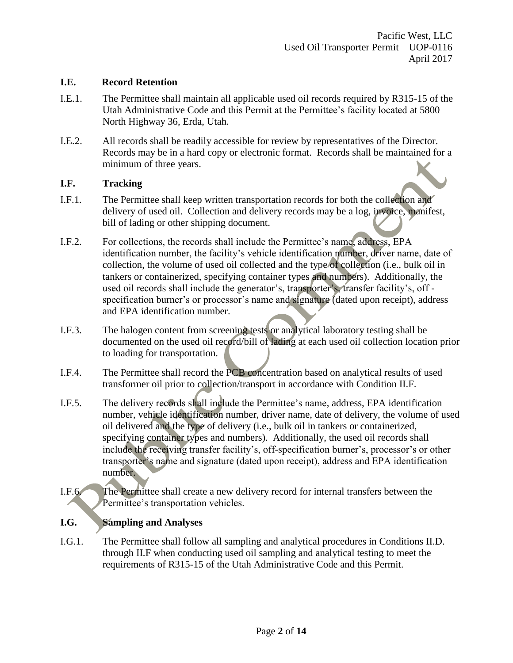#### **I.E. Record Retention**

- I.E.1. The Permittee shall maintain all applicable used oil records required by R315-15 of the Utah Administrative Code and this Permit at the Permittee's facility located at 5800 North Highway 36, Erda, Utah.
- I.E.2. All records shall be readily accessible for review by representatives of the Director. Records may be in a hard copy or electronic format. Records shall be maintained for a minimum of three years.

## **I.F. Tracking**

- I.F.1. The Permittee shall keep written transportation records for both the collection and delivery of used oil. Collection and delivery records may be a log, invoice, manifest, bill of lading or other shipping document.
- I.F.2. For collections, the records shall include the Permittee's name, address, EPA identification number, the facility's vehicle identification number, driver name, date of collection, the volume of used oil collected and the type of collection (i.e., bulk oil in tankers or containerized, specifying container types and numbers). Additionally, the used oil records shall include the generator's, transporter's, transfer facility's, off specification burner's or processor's name and signature (dated upon receipt), address and EPA identification number.
- I.F.3. The halogen content from screening tests or analytical laboratory testing shall be documented on the used oil record/bill of lading at each used oil collection location prior to loading for transportation.
- I.F.4. The Permittee shall record the PCB concentration based on analytical results of used transformer oil prior to collection/transport in accordance with Condition II.F.
- I.F.5. The delivery records shall include the Permittee's name, address, EPA identification number, vehicle identification number, driver name, date of delivery, the volume of used oil delivered and the type of delivery (i.e., bulk oil in tankers or containerized, specifying container types and numbers). Additionally, the used oil records shall include the receiving transfer facility's, off-specification burner's, processor's or other transporter's name and signature (dated upon receipt), address and EPA identification number.
- I.F.6. The Permittee shall create a new delivery record for internal transfers between the Permittee's transportation vehicles.

# **I.G. Sampling and Analyses**

I.G.1. The Permittee shall follow all sampling and analytical procedures in Conditions II.D. through II.F when conducting used oil sampling and analytical testing to meet the requirements of R315-15 of the Utah Administrative Code and this Permit.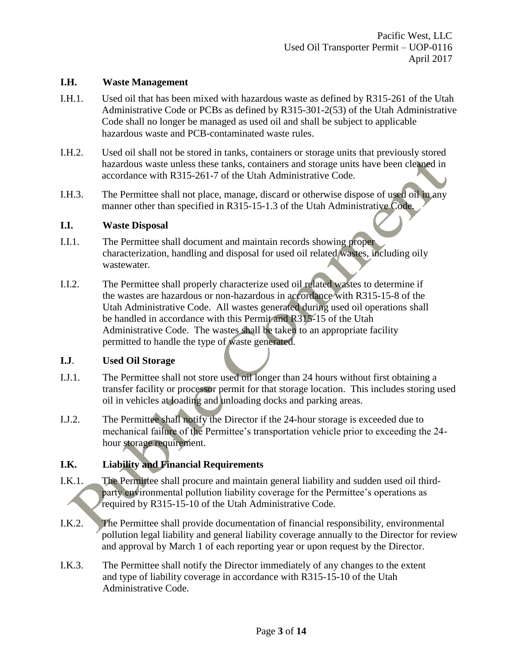#### **I.H. Waste Management**

- I.H.1. Used oil that has been mixed with hazardous waste as defined by R315-261 of the Utah Administrative Code or PCBs as defined by R315-301-2(53) of the Utah Administrative Code shall no longer be managed as used oil and shall be subject to applicable hazardous waste and PCB-contaminated waste rules.
- I.H.2. Used oil shall not be stored in tanks, containers or storage units that previously stored hazardous waste unless these tanks, containers and storage units have been cleaned in accordance with R315-261-7 of the Utah Administrative Code.
- I.H.3. The Permittee shall not place, manage, discard or otherwise dispose of used oil in any manner other than specified in R315-15-1.3 of the Utah Administrative Code.

## **I.I. Waste Disposal**

- I.I.1. The Permittee shall document and maintain records showing proper characterization, handling and disposal for used oil related wastes, including oily wastewater.
- I.I.2. The Permittee shall properly characterize used oil related wastes to determine if the wastes are hazardous or non-hazardous in accordance with R315-15-8 of the Utah Administrative Code. All wastes generated during used oil operations shall be handled in accordance with this Permit and R315-15 of the Utah Administrative Code. The wastes shall be taken to an appropriate facility permitted to handle the type of waste generated.

#### **I.J**. **Used Oil Storage**

- I.J.1. The Permittee shall not store used oil longer than 24 hours without first obtaining a transfer facility or processor permit for that storage location. This includes storing used oil in vehicles at loading and unloading docks and parking areas.
- I.J.2. The Permittee shall notify the Director if the 24-hour storage is exceeded due to mechanical failure of the Permittee's transportation vehicle prior to exceeding the 24 hour storage requirement.

# **I.K. Liability and Financial Requirements**

- I.K.1. The Permittee shall procure and maintain general liability and sudden used oil thirdparty environmental pollution liability coverage for the Permittee's operations as required by R315-15-10 of the Utah Administrative Code.
- I.K.2. The Permittee shall provide documentation of financial responsibility, environmental pollution legal liability and general liability coverage annually to the Director for review and approval by March 1 of each reporting year or upon request by the Director.
- I.K.3. The Permittee shall notify the Director immediately of any changes to the extent and type of liability coverage in accordance with R315-15-10 of the Utah Administrative Code.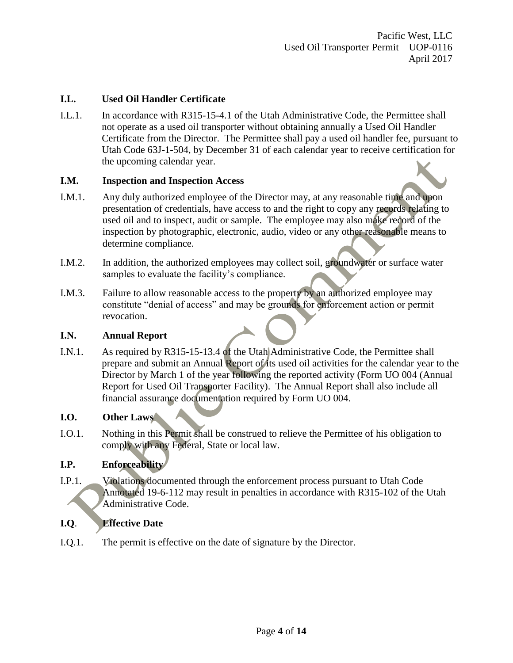## **I.L. Used Oil Handler Certificate**

I.L.1. In accordance with R315-15-4.1 of the Utah Administrative Code, the Permittee shall not operate as a used oil transporter without obtaining annually a Used Oil Handler Certificate from the Director. The Permittee shall pay a used oil handler fee, pursuant to Utah Code 63J-1-504, by December 31 of each calendar year to receive certification for the upcoming calendar year.

#### **I.M. Inspection and Inspection Access**

- I.M.1. Any duly authorized employee of the Director may, at any reasonable time and upon presentation of credentials, have access to and the right to copy any records relating to used oil and to inspect, audit or sample. The employee may also make record of the inspection by photographic, electronic, audio, video or any other reasonable means to determine compliance.
- I.M.2. In addition, the authorized employees may collect soil, groundwater or surface water samples to evaluate the facility's compliance.
- I.M.3. Failure to allow reasonable access to the property by an authorized employee may constitute "denial of access" and may be grounds for enforcement action or permit revocation.

#### **I.N. Annual Report**

I.N.1. As required by R315-15-13.4 of the Utah Administrative Code, the Permittee shall prepare and submit an Annual Report of its used oil activities for the calendar year to the Director by March 1 of the year following the reported activity (Form UO 004 (Annual Report for Used Oil Transporter Facility). The Annual Report shall also include all financial assurance documentation required by Form UO 004.

#### **I.O. Other Laws**

I.O.1. Nothing in this Permit shall be construed to relieve the Permittee of his obligation to comply with any Federal, State or local law.

## **I.P. Enforceability**

I.P.1. Violations documented through the enforcement process pursuant to Utah Code Annotated 19-6-112 may result in penalties in accordance with R315-102 of the Utah Administrative Code.

## **I.Q**. **Effective Date**

I.Q.1. The permit is effective on the date of signature by the Director.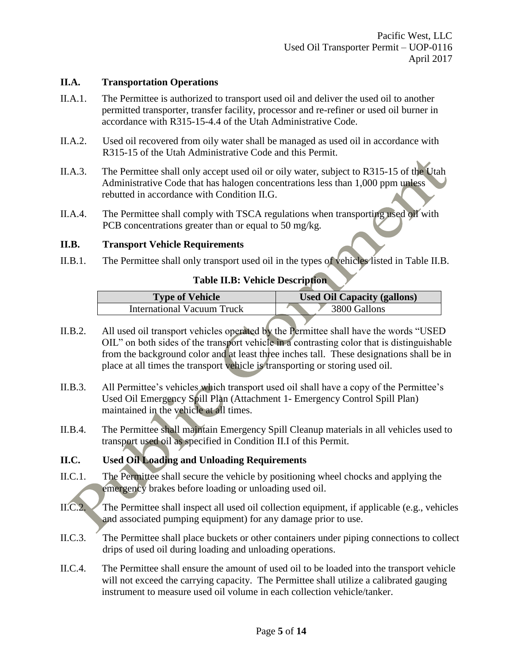## **II.A. Transportation Operations**

- II.A.1. The Permittee is authorized to transport used oil and deliver the used oil to another permitted transporter, transfer facility, processor and re-refiner or used oil burner in accordance with R315-15-4.4 of the Utah Administrative Code.
- II.A.2. Used oil recovered from oily water shall be managed as used oil in accordance with R315-15 of the Utah Administrative Code and this Permit.
- II.A.3. The Permittee shall only accept used oil or oily water, subject to R315-15 of the Utah Administrative Code that has halogen concentrations less than 1,000 ppm unless rebutted in accordance with Condition II.G.
- II.A.4. The Permittee shall comply with TSCA regulations when transporting used oil with PCB concentrations greater than or equal to 50 mg/kg.

## **II.B. Transport Vehicle Requirements**

II.B.1. The Permittee shall only transport used oil in the types of vehicles listed in Table II.B.

## **Table II.B: Vehicle Description**

| <b>Type of Vehicle</b>     | <b>Used Oil Capacity (gallons)</b> |  |
|----------------------------|------------------------------------|--|
| International Vacuum Truck | 3800 Gallons                       |  |

- II.B.2. All used oil transport vehicles operated by the Permittee shall have the words "USED OIL" on both sides of the transport vehicle in a contrasting color that is distinguishable from the background color and at least three inches tall. These designations shall be in place at all times the transport vehicle is transporting or storing used oil.
- II.B.3. All Permittee's vehicles which transport used oil shall have a copy of the Permittee's Used Oil Emergency Spill Plan (Attachment 1- Emergency Control Spill Plan) maintained in the vehicle at all times.
- II.B.4. The Permittee shall maintain Emergency Spill Cleanup materials in all vehicles used to transport used oil as specified in Condition II.I of this Permit.

# **II.C. Used Oil Loading and Unloading Requirements**

- II.C.1. The Permittee shall secure the vehicle by positioning wheel chocks and applying the emergency brakes before loading or unloading used oil.
- II.C.2. The Permittee shall inspect all used oil collection equipment, if applicable (e.g., vehicles and associated pumping equipment) for any damage prior to use.
- II.C.3. The Permittee shall place buckets or other containers under piping connections to collect drips of used oil during loading and unloading operations.
- II.C.4. The Permittee shall ensure the amount of used oil to be loaded into the transport vehicle will not exceed the carrying capacity. The Permittee shall utilize a calibrated gauging instrument to measure used oil volume in each collection vehicle/tanker.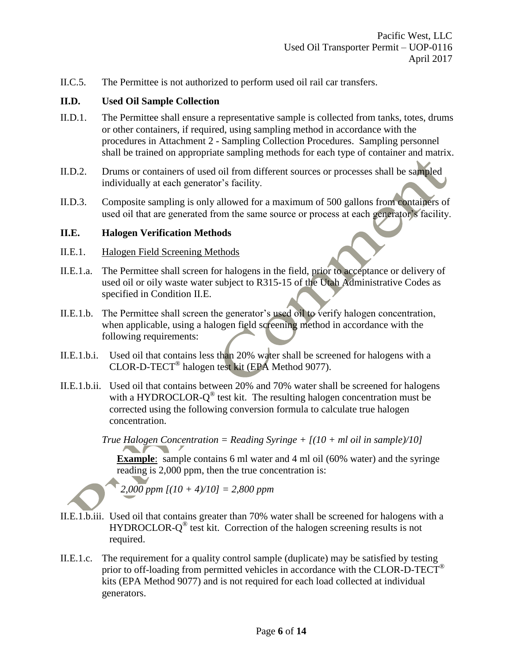II.C.5. The Permittee is not authorized to perform used oil rail car transfers.

## **II.D. Used Oil Sample Collection**

- II.D.1. The Permittee shall ensure a representative sample is collected from tanks, totes, drums or other containers, if required, using sampling method in accordance with the procedures in Attachment 2 - Sampling Collection Procedures. Sampling personnel shall be trained on appropriate sampling methods for each type of container and matrix.
- II.D.2. Drums or containers of used oil from different sources or processes shall be sampled individually at each generator's facility.
- II.D.3. Composite sampling is only allowed for a maximum of 500 gallons from containers of used oil that are generated from the same source or process at each generator's facility.

## **II.E. Halogen Verification Methods**

- II.E.1. Halogen Field Screening Methods
- II.E.1.a. The Permittee shall screen for halogens in the field, prior to acceptance or delivery of used oil or oily waste water subject to R315-15 of the Utah Administrative Codes as specified in Condition II.E.
- II.E.1.b. The Permittee shall screen the generator's used oil to verify halogen concentration, when applicable, using a halogen field screening method in accordance with the following requirements:
- II.E.1.b.i. Used oil that contains less than 20% water shall be screened for halogens with a CLOR-D-TECT® halogen test kit (EPA Method 9077).
- II.E.1.b.ii. Used oil that contains between 20% and 70% water shall be screened for halogens with a HYDROCLOR- $Q^{\circledast}$  test kit. The resulting halogen concentration must be corrected using the following conversion formula to calculate true halogen concentration.

*True Halogen Concentration = Reading Syringe + [(10 + ml oil in sample)/10]*

**Example**: sample contains 6 ml water and 4 ml oil (60% water) and the syringe reading is 2,000 ppm, then the true concentration is:

$$
2,000\ ppm\ [(10+4)/10] = 2,800\ ppm
$$

- II.E.1.b.iii. Used oil that contains greater than 70% water shall be screened for halogens with a HYDROCLOR-Q<sup>®</sup> test kit. Correction of the halogen screening results is not required.
- II.E.1.c. The requirement for a quality control sample (duplicate) may be satisfied by testing prior to off-loading from permitted vehicles in accordance with the CLOR-D-TECT<sup>®</sup> kits (EPA Method 9077) and is not required for each load collected at individual generators.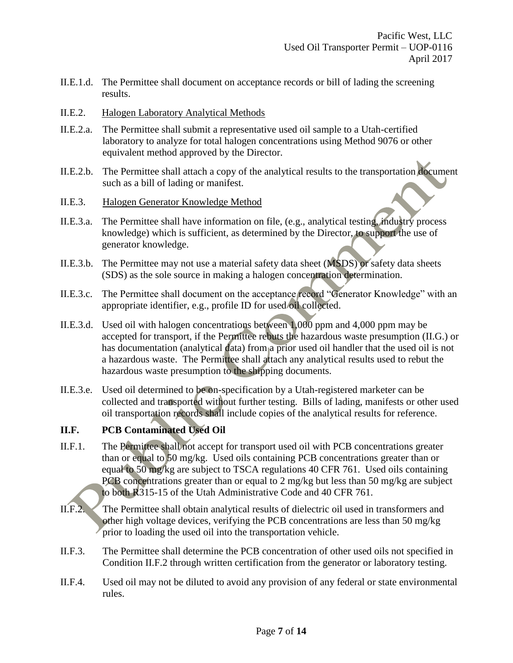- II.E.1.d. The Permittee shall document on acceptance records or bill of lading the screening results.
- II.E.2. Halogen Laboratory Analytical Methods
- II.E.2.a. The Permittee shall submit a representative used oil sample to a Utah-certified laboratory to analyze for total halogen concentrations using Method 9076 or other equivalent method approved by the Director.
- II.E.2.b. The Permittee shall attach a copy of the analytical results to the transportation document such as a bill of lading or manifest.
- II.E.3. Halogen Generator Knowledge Method
- II.E.3.a. The Permittee shall have information on file, (e.g., analytical testing, industry process knowledge) which is sufficient, as determined by the Director, to support the use of generator knowledge.
- II.E.3.b. The Permittee may not use a material safety data sheet (MSDS) or safety data sheets (SDS) as the sole source in making a halogen concentration determination.
- II.E.3.c. The Permittee shall document on the acceptance record "Generator Knowledge" with an appropriate identifier, e.g., profile ID for used oil collected.
- II.E.3.d. Used oil with halogen concentrations between 1,000 ppm and 4,000 ppm may be accepted for transport, if the Permittee rebuts the hazardous waste presumption (II.G.) or has documentation (analytical data) from a prior used oil handler that the used oil is not a hazardous waste. The Permittee shall attach any analytical results used to rebut the hazardous waste presumption to the shipping documents.
- II.E.3.e. Used oil determined to be on-specification by a Utah-registered marketer can be collected and transported without further testing. Bills of lading, manifests or other used oil transportation records shall include copies of the analytical results for reference.

## **II.F. PCB Contaminated Used Oil**

- II.F.1. The Permittee shall not accept for transport used oil with PCB concentrations greater than or equal to 50 mg/kg. Used oils containing PCB concentrations greater than or equal to 50 mg/kg are subject to TSCA regulations 40 CFR 761. Used oils containing PCB concentrations greater than or equal to 2 mg/kg but less than 50 mg/kg are subject to both R315-15 of the Utah Administrative Code and 40 CFR 761.
- II.F.2. The Permittee shall obtain analytical results of dielectric oil used in transformers and other high voltage devices, verifying the PCB concentrations are less than 50 mg/kg prior to loading the used oil into the transportation vehicle.
- II.F.3. The Permittee shall determine the PCB concentration of other used oils not specified in Condition II.F.2 through written certification from the generator or laboratory testing.
- II.F.4. Used oil may not be diluted to avoid any provision of any federal or state environmental rules.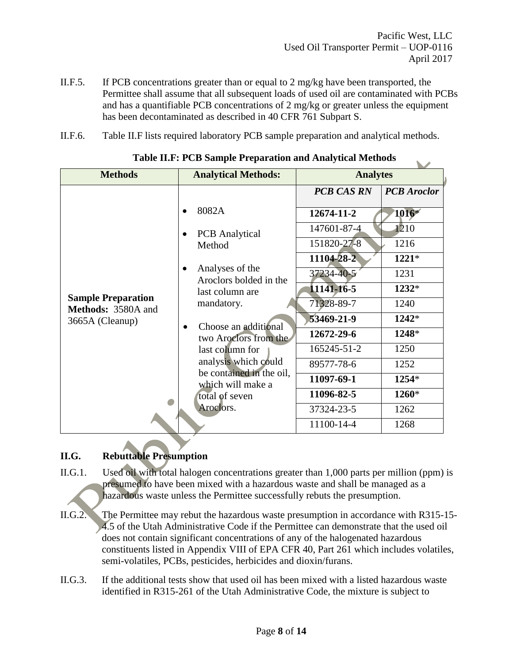- II.F.5. If PCB concentrations greater than or equal to 2 mg/kg have been transported, the Permittee shall assume that all subsequent loads of used oil are contaminated with PCBs and has a quantifiable PCB concentrations of 2 mg/kg or greater unless the equipment has been decontaminated as described in 40 CFR 761 Subpart S.
- II.F.6. Table II.F lists required laboratory PCB sample preparation and analytical methods.

| <b>Methods</b>                                                     | <b>Analytical Methods:</b><br><b>Analytes</b>                                                                                                                                                                                                                                                      |                                                                                                                                                                                                            |                                                                                                                                           |
|--------------------------------------------------------------------|----------------------------------------------------------------------------------------------------------------------------------------------------------------------------------------------------------------------------------------------------------------------------------------------------|------------------------------------------------------------------------------------------------------------------------------------------------------------------------------------------------------------|-------------------------------------------------------------------------------------------------------------------------------------------|
| <b>Sample Preparation</b><br>Methods: 3580A and<br>3665A (Cleanup) | 8082A<br><b>PCB</b> Analytical<br>Method<br>Analyses of the<br>$\bullet$<br>Aroclors bolded in the<br>last column are<br>mandatory.<br>Choose an additional<br>two Aroclors from the<br>last column for<br>analysis which could<br>be contained in the oil,<br>which will make a<br>total of seven | <b>PCB CAS RN</b><br>12674-11-2<br>147601-87-4<br>151820-27-8<br>11104-28-2<br>37234-40-5<br>11141-16-5<br>71328-89-7<br>53469-21-9<br>12672-29-6<br>165245-51-2<br>89577-78-6<br>11097-69-1<br>11096-82-5 | <b>PCB</b> Aroclor<br>1016*<br>1210<br>1216<br>$1221*$<br>1231<br>$1232*$<br>1240<br>$1242*$<br>1248*<br>1250<br>1252<br>$1254*$<br>1260* |
|                                                                    | Aroclors.                                                                                                                                                                                                                                                                                          | 37324-23-5<br>11100-14-4                                                                                                                                                                                   | 1262<br>1268                                                                                                                              |

**Table II.F: PCB Sample Preparation and Analytical Methods**

# **II.G. Rebuttable Presumption**

- II.G.1. Used oil with total halogen concentrations greater than 1,000 parts per million (ppm) is presumed to have been mixed with a hazardous waste and shall be managed as a hazardous waste unless the Permittee successfully rebuts the presumption.
- II.G.2. The Permittee may rebut the hazardous waste presumption in accordance with R315-15- 4.5 of the Utah Administrative Code if the Permittee can demonstrate that the used oil does not contain significant concentrations of any of the halogenated hazardous constituents listed in Appendix VIII of EPA CFR 40, Part 261 which includes volatiles, semi-volatiles, PCBs, pesticides, herbicides and dioxin/furans.
- II.G.3. If the additional tests show that used oil has been mixed with a listed hazardous waste identified in R315-261 of the Utah Administrative Code, the mixture is subject to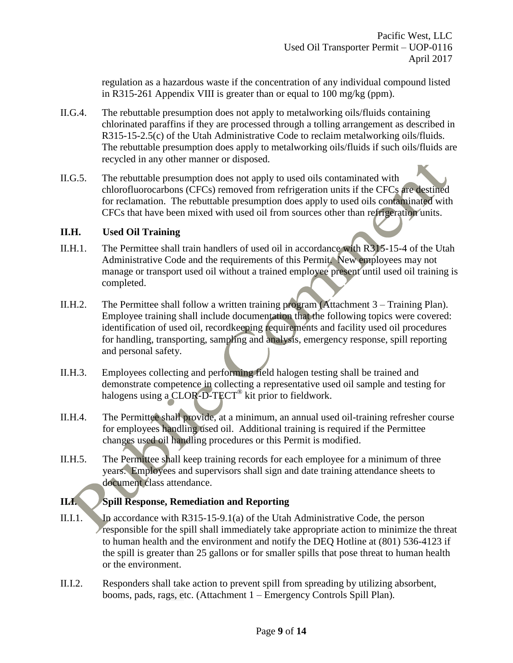regulation as a hazardous waste if the concentration of any individual compound listed in R315-261 Appendix VIII is greater than or equal to 100 mg/kg (ppm).

- II.G.4. The rebuttable presumption does not apply to metalworking oils/fluids containing chlorinated paraffins if they are processed through a tolling arrangement as described in R315-15-2.5(c) of the Utah Administrative Code to reclaim metalworking oils/fluids. The rebuttable presumption does apply to metalworking oils/fluids if such oils/fluids are recycled in any other manner or disposed.
- II.G.5. The rebuttable presumption does not apply to used oils contaminated with chlorofluorocarbons (CFCs) removed from refrigeration units if the CFCs are destined for reclamation. The rebuttable presumption does apply to used oils contaminated with CFCs that have been mixed with used oil from sources other than refrigeration units.

#### **II.H. Used Oil Training**

- II.H.1. The Permittee shall train handlers of used oil in accordance with R315-15-4 of the Utah Administrative Code and the requirements of this Permit. New employees may not manage or transport used oil without a trained employee present until used oil training is completed.
- II.H.2. The Permittee shall follow a written training program (Attachment 3 Training Plan). Employee training shall include documentation that the following topics were covered: identification of used oil, recordkeeping requirements and facility used oil procedures for handling, transporting, sampling and analysis, emergency response, spill reporting and personal safety.
- II.H.3. Employees collecting and performing field halogen testing shall be trained and demonstrate competence in collecting a representative used oil sample and testing for halogens using a CLOR-D-TECT<sup>®</sup> kit prior to fieldwork.
- II.H.4. The Permittee shall provide, at a minimum, an annual used oil-training refresher course for employees handling used oil. Additional training is required if the Permittee changes used oil handling procedures or this Permit is modified.
- II.H.5. The Permittee shall keep training records for each employee for a minimum of three years. Employees and supervisors shall sign and date training attendance sheets to document class attendance.

# **II.I. Spill Response, Remediation and Reporting**

- II.I.1. In accordance with R315-15-9.1(a) of the Utah Administrative Code, the person responsible for the spill shall immediately take appropriate action to minimize the threat to human health and the environment and notify the DEQ Hotline at (801) 536-4123 if the spill is greater than 25 gallons or for smaller spills that pose threat to human health or the environment.
- II.I.2. Responders shall take action to prevent spill from spreading by utilizing absorbent, booms, pads, rags, etc. (Attachment 1 – Emergency Controls Spill Plan).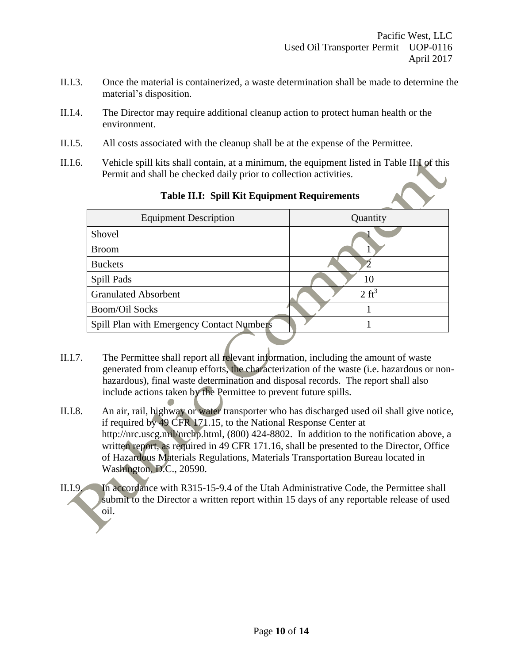- II.I.3. Once the material is containerized, a waste determination shall be made to determine the material's disposition.
- II.I.4. The Director may require additional cleanup action to protect human health or the environment.
- II.I.5. All costs associated with the cleanup shall be at the expense of the Permittee.
- II.I.6. Vehicle spill kits shall contain, at a minimum, the equipment listed in Table II.I of this Permit and shall be checked daily prior to collection activities.

| <b>Equipment Description</b>                     | Quantity         |
|--------------------------------------------------|------------------|
| Shovel                                           |                  |
| <b>Broom</b>                                     |                  |
| <b>Buckets</b>                                   |                  |
| Spill Pads                                       | 10               |
| <b>Granulated Absorbent</b>                      | $2 \text{ ft}^3$ |
| <b>Boom/Oil Socks</b>                            |                  |
| <b>Spill Plan with Emergency Contact Numbers</b> |                  |
|                                                  |                  |

## **Table II.I: Spill Kit Equipment Requirements**

- II.I.7. The Permittee shall report all relevant information, including the amount of waste generated from cleanup efforts, the characterization of the waste (i.e. hazardous or nonhazardous), final waste determination and disposal records. The report shall also include actions taken by the Permittee to prevent future spills.
- II.I.8. An air, rail, highway or water transporter who has discharged used oil shall give notice, if required by 49 CFR 171.15, to the National Response Center at http://nrc.uscg.mil/nrchp.html, (800) 424-8802. In addition to the notification above, a written report, as required in 49 CFR 171.16, shall be presented to the Director, Office of Hazardous Materials Regulations, Materials Transportation Bureau located in Washington, D.C., 20590.
- II.I.9. In accordance with R315-15-9.4 of the Utah Administrative Code, the Permittee shall submit to the Director a written report within 15 days of any reportable release of used oil.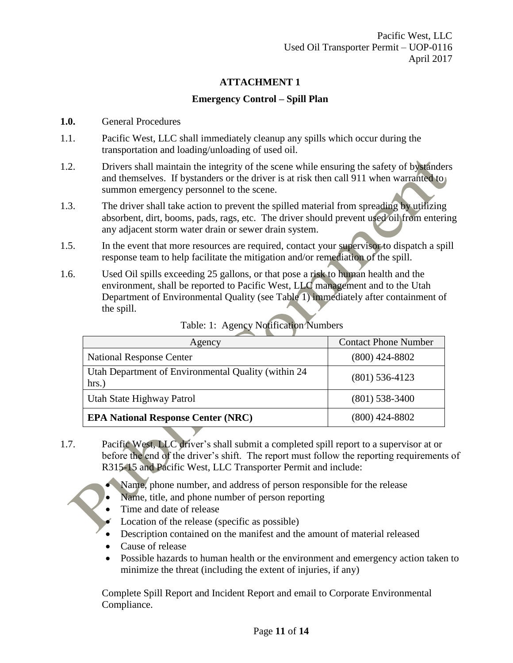## **ATTACHMENT 1**

## **Emergency Control – Spill Plan**

#### **1.0.** General Procedures

- 1.1. Pacific West, LLC shall immediately cleanup any spills which occur during the transportation and loading/unloading of used oil.
- 1.2. Drivers shall maintain the integrity of the scene while ensuring the safety of bystanders and themselves. If bystanders or the driver is at risk then call 911 when warranted to summon emergency personnel to the scene.
- 1.3. The driver shall take action to prevent the spilled material from spreading by utilizing absorbent, dirt, booms, pads, rags, etc. The driver should prevent used oil from entering any adjacent storm water drain or sewer drain system.
- 1.5. In the event that more resources are required, contact your supervisor to dispatch a spill response team to help facilitate the mitigation and/or remediation of the spill.
- 1.6. Used Oil spills exceeding 25 gallons, or that pose a risk to human health and the environment, shall be reported to Pacific West, LLC management and to the Utah Department of Environmental Quality (see Table 1) immediately after containment of the spill.

| Agency                                                        | <b>Contact Phone Number</b> |  |
|---------------------------------------------------------------|-----------------------------|--|
| <b>National Response Center</b>                               | $(800)$ 424-8802            |  |
| Utah Department of Environmental Quality (within 24)<br>hrs.) | $(801)$ 536-4123            |  |
| Utah State Highway Patrol                                     | $(801)$ 538-3400            |  |
| <b>EPA National Response Center (NRC)</b>                     | $(800)$ 424-8802            |  |

Table: 1: Agency Notification Numbers

- 1.7. Pacific West, LLC driver's shall submit a completed spill report to a supervisor at or before the end of the driver's shift. The report must follow the reporting requirements of R315-15 and Pacific West, LLC Transporter Permit and include:
	- Name, phone number, and address of person responsible for the release
	- Name, title, and phone number of person reporting
	- Time and date of release
	- Location of the release (specific as possible)
	- Description contained on the manifest and the amount of material released
	- Cause of release
	- Possible hazards to human health or the environment and emergency action taken to minimize the threat (including the extent of injuries, if any)

Complete Spill Report and Incident Report and email to Corporate Environmental Compliance.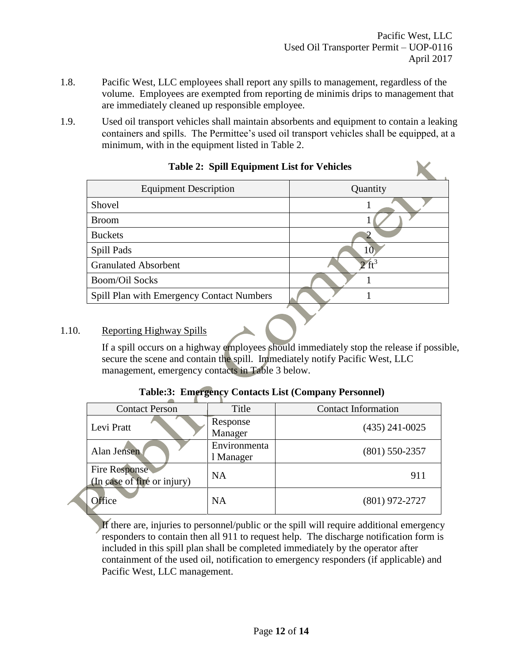- 1.8. Pacific West, LLC employees shall report any spills to management, regardless of the volume. Employees are exempted from reporting de minimis drips to management that are immediately cleaned up responsible employee.
- 1.9. Used oil transport vehicles shall maintain absorbents and equipment to contain a leaking containers and spills. The Permittee's used oil transport vehicles shall be equipped, at a minimum, with in the equipment listed in Table 2.

| <b>Equipment Description</b>              | Quantity |  |
|-------------------------------------------|----------|--|
| Shovel                                    |          |  |
| <b>Broom</b>                              |          |  |
| <b>Buckets</b>                            |          |  |
| Spill Pads                                |          |  |
| <b>Granulated Absorbent</b>               |          |  |
| <b>Boom/Oil Socks</b>                     |          |  |
| Spill Plan with Emergency Contact Numbers |          |  |
|                                           |          |  |

## **Table 2: Spill Equipment List for Vehicles**

## 1.10. Reporting Highway Spills

If a spill occurs on a highway employees should immediately stop the release if possible, secure the scene and contain the spill. Immediately notify Pacific West, LLC management, emergency contacts in Table 3 below.

# **Table:3: Emergency Contacts List (Company Personnel)**

| <b>Contact Person</b>                               | Title                     | <b>Contact Information</b> |
|-----------------------------------------------------|---------------------------|----------------------------|
| Levi Pratt                                          | Response<br>Manager       | $(435)$ 241-0025           |
| Alan Jensen                                         | Environmenta<br>1 Manager | $(801)$ 550-2357           |
| <b>Fire Response</b><br>(In case of fire or injury) | <b>NA</b>                 | 911                        |
| <b>Office</b>                                       | <b>NA</b>                 | $(801)$ 972-2727           |

If there are, injuries to personnel/public or the spill will require additional emergency responders to contain then all 911 to request help. The discharge notification form is included in this spill plan shall be completed immediately by the operator after containment of the used oil, notification to emergency responders (if applicable) and Pacific West, LLC management.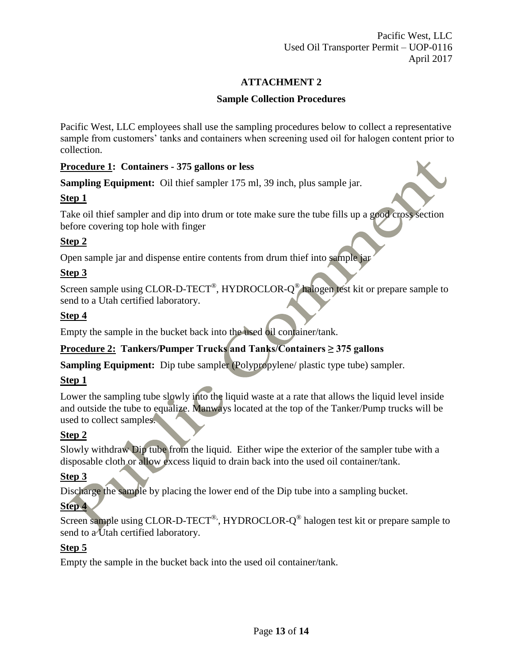## **ATTACHMENT 2**

## **Sample Collection Procedures**

Pacific West, LLC employees shall use the sampling procedures below to collect a representative sample from customers' tanks and containers when screening used oil for halogen content prior to collection.

## **Procedure 1: Containers - 375 gallons or less**

**Sampling Equipment:** Oil thief sampler 175 ml, 39 inch, plus sample jar.

# **Step 1**

Take oil thief sampler and dip into drum or tote make sure the tube fills up a good cross section before covering top hole with finger

# **Step 2**

Open sample jar and dispense entire contents from drum thief into sample jar

# **Step 3**

Screen sample using CLOR-D-TECT<sup>®</sup>, HYDROCLOR-Q<sup>®</sup> halogen test kit or prepare sample to send to a Utah certified laboratory.

# **Step 4**

Empty the sample in the bucket back into the used oil container/tank.

# **Procedure 2: Tankers/Pumper Trucks and Tanks/Containers ≥ 375 gallons**

**Sampling Equipment:** Dip tube sampler (Polypropylene/ plastic type tube) sampler.

# **Step 1**

Lower the sampling tube slowly into the liquid waste at a rate that allows the liquid level inside and outside the tube to equalize. Manways located at the top of the Tanker/Pump trucks will be used to collect samples.

# **Step 2**

Slowly withdraw Dip tube from the liquid. Either wipe the exterior of the sampler tube with a disposable cloth or allow excess liquid to drain back into the used oil container/tank.

# **Step 3**

Discharge the sample by placing the lower end of the Dip tube into a sampling bucket.

# **Step 4**

Screen sample using CLOR-D-TECT<sup>®</sup>, HYDROCLOR- $Q^@$  halogen test kit or prepare sample to send to a Utah certified laboratory.

# **Step 5**

Empty the sample in the bucket back into the used oil container/tank.